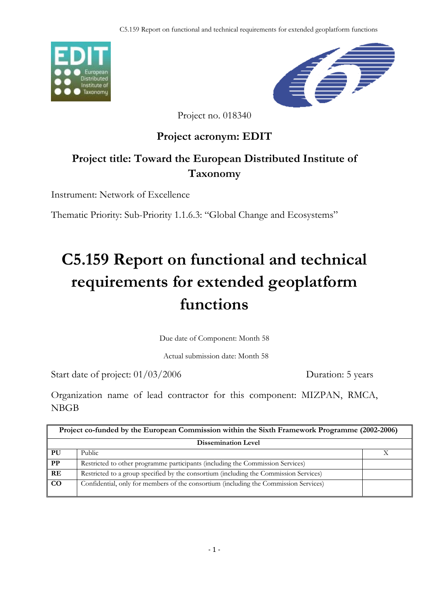



Project no. 018340

### **Project acronym: EDIT**

## **Project title: Toward the European Distributed Institute of Taxonomy**

Instrument: Network of Excellence

Thematic Priority: Sub-Priority 1.1.6.3: "Global Change and Ecosystems"

# **C5.159 Report on functional and technical requirements for extended geoplatform functions**

Due date of Component: Month 58

Actual submission date: Month 58

Start date of project:  $01/03/2006$  Duration: 5 years

Organization name of lead contractor for this component: MIZPAN, RMCA, NBGB

| Project co-funded by the European Commission within the Sixth Framework Programme (2002-2006) |                                                                                       |  |
|-----------------------------------------------------------------------------------------------|---------------------------------------------------------------------------------------|--|
| <b>Dissemination Level</b>                                                                    |                                                                                       |  |
| PU                                                                                            | Public                                                                                |  |
| $\bf PP$                                                                                      | Restricted to other programme participants (including the Commission Services)        |  |
| RE                                                                                            | Restricted to a group specified by the consortium (including the Commission Services) |  |
| <b>CO</b>                                                                                     | Confidential, only for members of the consortium (including the Commission Services)  |  |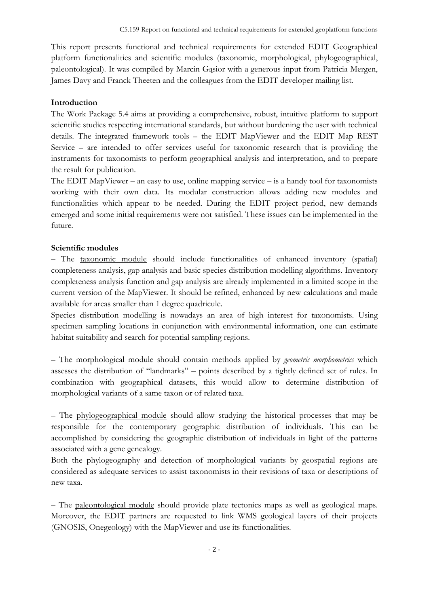This report presents functional and technical requirements for extended EDIT Geographical platform functionalities and scientific modules (taxonomic, morphological, phylogeographical, paleontological). It was compiled by Marcin Gąsior with a generous input from Patricia Mergen, James Davy and Franck Theeten and the colleagues from the EDIT developer mailing list.

#### **Introduction**

The Work Package 5.4 aims at providing a comprehensive, robust, intuitive platform to support scientific studies respecting international standards, but without burdening the user with technical details. The integrated framework tools – the EDIT MapViewer and the EDIT Map REST Service – are intended to offer services useful for taxonomic research that is providing the instruments for taxonomists to perform geographical analysis and interpretation, and to prepare the result for publication.

The EDIT MapViewer – an easy to use, online mapping service – is a handy tool for taxonomists working with their own data. Its modular construction allows adding new modules and functionalities which appear to be needed. During the EDIT project period, new demands emerged and some initial requirements were not satisfied. These issues can be implemented in the future.

#### **Scientific modules**

– The taxonomic module should include functionalities of enhanced inventory (spatial) completeness analysis, gap analysis and basic species distribution modelling algorithms. Inventory completeness analysis function and gap analysis are already implemented in a limited scope in the current version of the MapViewer. It should be refined, enhanced by new calculations and made available for areas smaller than 1 degree quadricule.

Species distribution modelling is nowadays an area of high interest for taxonomists. Using specimen sampling locations in conjunction with environmental information, one can estimate habitat suitability and search for potential sampling regions.

– The morphological module should contain methods applied by *geometric morphometrics* which assesses the distribution of "landmarks" – points described by a tightly defined set of rules. In combination with geographical datasets, this would allow to determine distribution of morphological variants of a same taxon or of related taxa.

– The phylogeographical module should allow studying the historical processes that may be responsible for the contemporary geographic distribution of individuals. This can be accomplished by considering the geographic distribution of individuals in light of the patterns associated with a gene genealogy.

Both the phylogeography and detection of morphological variants by geospatial regions are considered as adequate services to assist taxonomists in their revisions of taxa or descriptions of new taxa.

– The paleontological module should provide plate tectonics maps as well as geological maps. Moreover, the EDIT partners are requested to link WMS geological layers of their projects (GNOSIS, Onegeology) with the MapViewer and use its functionalities.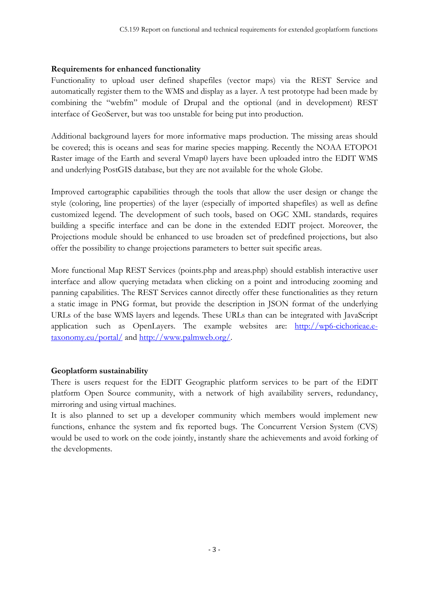#### **Requirements for enhanced functionality**

Functionality to upload user defined shapefiles (vector maps) via the REST Service and automatically register them to the WMS and display as a layer. A test prototype had been made by combining the "webfm" module of Drupal and the optional (and in development) REST interface of GeoServer, but was too unstable for being put into production.

Additional background layers for more informative maps production. The missing areas should be covered; this is oceans and seas for marine species mapping. Recently the NOAA ETOPO1 Raster image of the Earth and several Vmap0 layers have been uploaded intro the EDIT WMS and underlying PostGIS database, but they are not available for the whole Globe.

Improved cartographic capabilities through the tools that allow the user design or change the style (coloring, line properties) of the layer (especially of imported shapefiles) as well as define customized legend. The development of such tools, based on OGC XML standards, requires building a specific interface and can be done in the extended EDIT project. Moreover, the Projections module should be enhanced to use broaden set of predefined projections, but also offer the possibility to change projections parameters to better suit specific areas.

More functional Map REST Services (points.php and areas.php) should establish interactive user interface and allow querying metadata when clicking on a point and introducing zooming and panning capabilities. The REST Services cannot directly offer these functionalities as they return a static image in PNG format, but provide the description in JSON format of the underlying URLs of the base WMS layers and legends. These URLs than can be integrated with JavaScript application such as OpenLayers. The example websites are: http://wp6-cichorieae.etaxonomy.eu/portal/ and http://www.palmweb.org/.

#### **Geoplatform sustainability**

There is users request for the EDIT Geographic platform services to be part of the EDIT platform Open Source community, with a network of high availability servers, redundancy, mirroring and using virtual machines.

It is also planned to set up a developer community which members would implement new functions, enhance the system and fix reported bugs. The Concurrent Version System (CVS) would be used to work on the code jointly, instantly share the achievements and avoid forking of the developments.